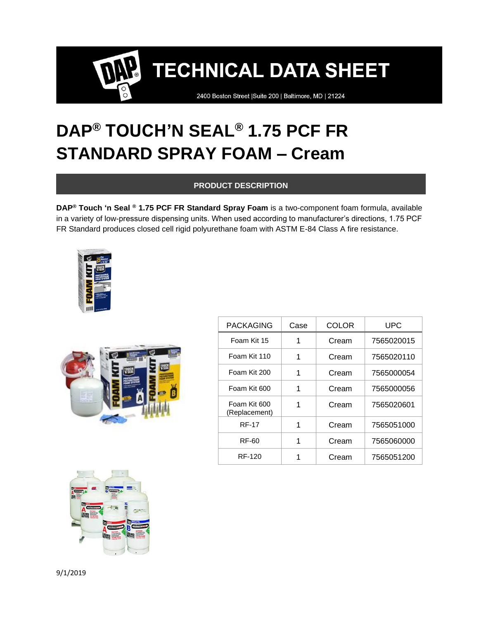2400 Boston Street | Suite 200 | Baltimore, MD | 21224

### **DAP® TOUCH'N SEAL® 1.75 PCF FR STANDARD SPRAY FOAM – Cream**

### **PRODUCT DESCRIPTION**

**DAP® Touch 'n Seal ® 1.75 PCF FR Standard Spray Foam** is a two-component foam formula, available in a variety of low-pressure dispensing units. When used according to manufacturer's directions, 1.75 PCF FR Standard produces closed cell rigid polyurethane foam with ASTM E-84 Class A fire resistance.





| <b>PACKAGING</b>              | Case | COLOR | UPC        |
|-------------------------------|------|-------|------------|
| Foam Kit 15                   | 1    | Cream | 7565020015 |
| Foam Kit 110                  | 1    | Cream | 7565020110 |
| Foam Kit 200                  | 1    | Cream | 7565000054 |
| Foam Kit 600                  | 1    | Cream | 7565000056 |
| Foam Kit 600<br>(Replacement) | 1    | Cream | 7565020601 |
| <b>RF-17</b>                  |      | Cream | 7565051000 |
| RF-60                         | 1    | Cream | 7565060000 |
| RF-120                        |      | Cream | 7565051200 |

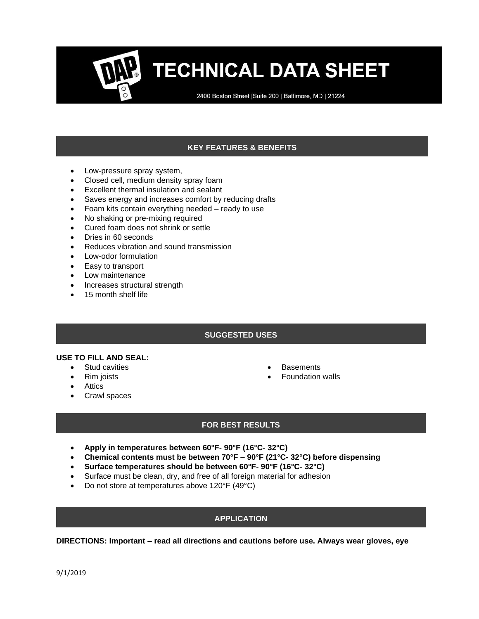2400 Boston Street | Suite 200 | Baltimore, MD | 21224

### **KEY FEATURES & BENEFITS**

- Low-pressure spray system,
- Closed cell, medium density spray foam
- Excellent thermal insulation and sealant
- Saves energy and increases comfort by reducing drafts
- Foam kits contain everything needed ready to use
- No shaking or pre-mixing required
- Cured foam does not shrink or settle
- Dries in 60 seconds
- Reduces vibration and sound transmission
- Low-odor formulation
- Easy to transport
- Low maintenance
- Increases structural strength
- 15 month shelf life

#### **SUGGESTED USES**

#### **USE TO FILL AND SEAL:**

- Stud cavities
- Rim joists
- Attics
- Crawl spaces
- **Basements**
- Foundation walls

#### **FOR BEST RESULTS**

- **Apply in temperatures between 60°F- 90°F (16°C- 32°C)**
- **Chemical contents must be between 70°F – 90°F (21°C- 32°C) before dispensing**
- **Surface temperatures should be between 60°F- 90°F (16°C- 32°C)**
- Surface must be clean, dry, and free of all foreign material for adhesion
- Do not store at temperatures above 120°F (49°C)

#### **APPLICATION**

**DIRECTIONS: Important – read all directions and cautions before use. Always wear gloves, eye**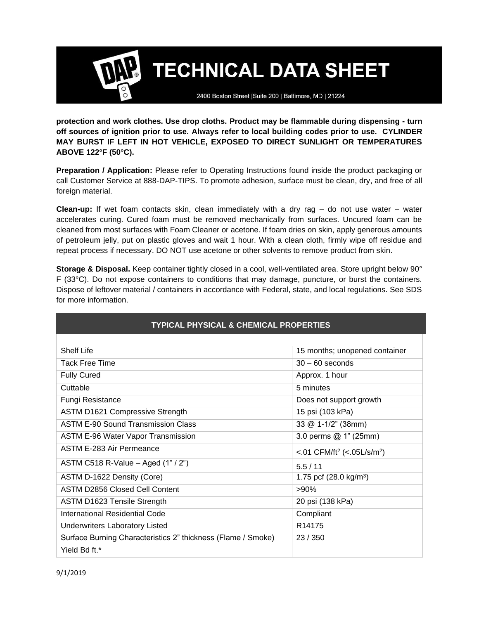2400 Boston Street | Suite 200 | Baltimore, MD | 21224

**protection and work clothes. Use drop cloths. Product may be flammable during dispensing - turn off sources of ignition prior to use. Always refer to local building codes prior to use. CYLINDER MAY BURST IF LEFT IN HOT VEHICLE, EXPOSED TO DIRECT SUNLIGHT OR TEMPERATURES ABOVE 122°F (50°C).**

**Preparation / Application:** Please refer to Operating Instructions found inside the product packaging or call Customer Service at 888-DAP-TIPS. To promote adhesion, surface must be clean, dry, and free of all foreign material.

**Clean-up:** If wet foam contacts skin, clean immediately with a dry rag – do not use water – water accelerates curing. Cured foam must be removed mechanically from surfaces. Uncured foam can be cleaned from most surfaces with Foam Cleaner or acetone. If foam dries on skin, apply generous amounts of petroleum jelly, put on plastic gloves and wait 1 hour. With a clean cloth, firmly wipe off residue and repeat process if necessary. DO NOT use acetone or other solvents to remove product from skin.

**Storage & Disposal.** Keep container tightly closed in a cool, well-ventilated area. Store upright below 90° F (33°C). Do not expose containers to conditions that may damage, puncture, or burst the containers. Dispose of leftover material / containers in accordance with Federal, state, and local regulations. See SDS for more information.

| <b>TYPICAL PHYSICAL &amp; CHEMICAL PROPERTIES</b>            |                                                    |  |
|--------------------------------------------------------------|----------------------------------------------------|--|
|                                                              |                                                    |  |
| Shelf Life                                                   | 15 months; unopened container                      |  |
| <b>Tack Free Time</b>                                        | $30 - 60$ seconds                                  |  |
| <b>Fully Cured</b>                                           | Approx. 1 hour                                     |  |
| Cuttable                                                     | 5 minutes                                          |  |
| <b>Fungi Resistance</b>                                      | Does not support growth                            |  |
| <b>ASTM D1621 Compressive Strength</b>                       | 15 psi (103 kPa)                                   |  |
| ASTM E-90 Sound Transmission Class                           | 33 @ 1-1/2" (38mm)                                 |  |
| <b>ASTM E-96 Water Vapor Transmission</b>                    | 3.0 perms @ 1" (25mm)                              |  |
| ASTM E-283 Air Permeance                                     | <.01 CFM/ft <sup>2</sup> (<.05L/s/m <sup>2</sup> ) |  |
| ASTM C518 R-Value - Aged (1" / 2")                           | 5.5/11                                             |  |
| ASTM D-1622 Density (Core)                                   | 1.75 pcf $(28.0 \text{ kg/m}^3)$                   |  |
| <b>ASTM D2856 Closed Cell Content</b>                        | >90%                                               |  |
| <b>ASTM D1623 Tensile Strength</b>                           | 20 psi (138 kPa)                                   |  |
| <b>International Residential Code</b>                        | Compliant                                          |  |
| <b>Underwriters Laboratory Listed</b>                        | R <sub>14175</sub>                                 |  |
| Surface Burning Characteristics 2" thickness (Flame / Smoke) | 23 / 350                                           |  |
| Yield Bd ft.*                                                |                                                    |  |